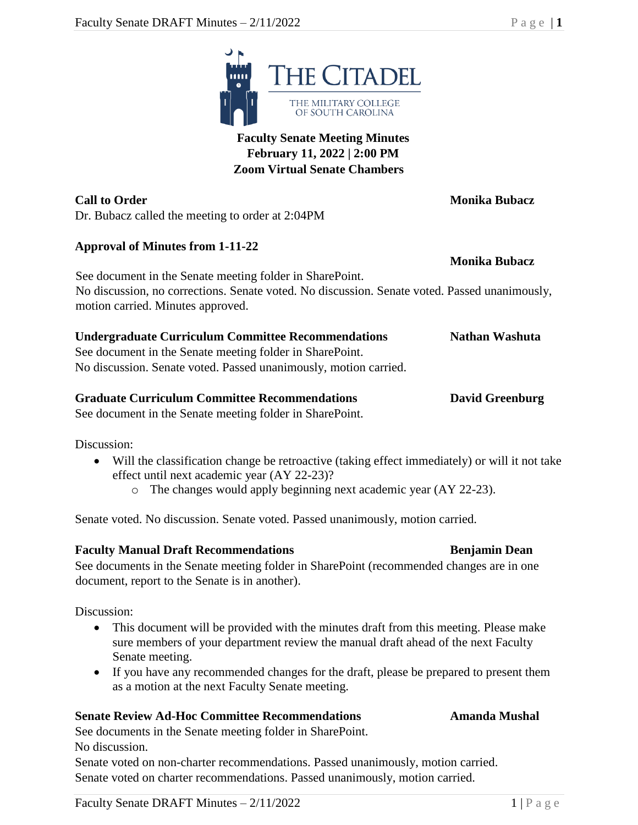

**Call to Order Monika Bubacz** Dr. Bubacz called the meeting to order at 2:04PM

### **Approval of Minutes from 1-11-22**

See document in the Senate meeting folder in SharePoint. No discussion, no corrections. Senate voted. No discussion. Senate voted. Passed unanimously, motion carried. Minutes approved.

| <b>Undergraduate Curriculum Committee Recommendations</b> | <b>Nathan Washuta</b> |
|-----------------------------------------------------------|-----------------------|
| See document in the Senate meeting folder in SharePoint.  |                       |

No discussion. Senate voted. Passed unanimously, motion carried.

#### **Graduate Curriculum Committee Recommendations David Greenburg**

See document in the Senate meeting folder in SharePoint.

Discussion:

- Will the classification change be retroactive (taking effect immediately) or will it not take effect until next academic year (AY 22-23)?
	- o The changes would apply beginning next academic year (AY 22-23).

Senate voted. No discussion. Senate voted. Passed unanimously, motion carried.

#### **Faculty Manual Draft Recommendations Benjamin Dean**

See documents in the Senate meeting folder in SharePoint (recommended changes are in one document, report to the Senate is in another).

Discussion:

- This document will be provided with the minutes draft from this meeting. Please make sure members of your department review the manual draft ahead of the next Faculty Senate meeting.
- If you have any recommended changes for the draft, please be prepared to present them as a motion at the next Faculty Senate meeting.

### **Senate Review Ad-Hoc Committee Recommendations Amanda Mushal**

See documents in the Senate meeting folder in SharePoint. No discussion.

Senate voted on non-charter recommendations. Passed unanimously, motion carried. Senate voted on charter recommendations. Passed unanimously, motion carried.

**Monika Bubacz**

**THE CITADEL** THE MILITARY COLLEGE OF SOUTH CAROLINA

## **Faculty Senate Meeting Minutes February 11, 2022 | 2:00 PM**

**Zoom Virtual Senate Chambers**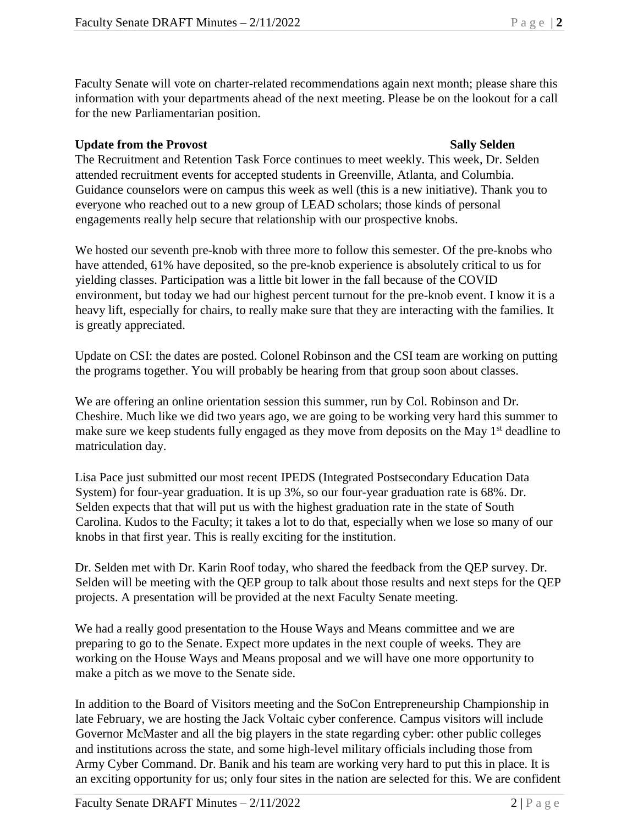Faculty Senate will vote on charter-related recommendations again next month; please share this information with your departments ahead of the next meeting. Please be on the lookout for a call for the new Parliamentarian position.

### **Update from the Provost Sally Selden**

The Recruitment and Retention Task Force continues to meet weekly. This week, Dr. Selden attended recruitment events for accepted students in Greenville, Atlanta, and Columbia. Guidance counselors were on campus this week as well (this is a new initiative). Thank you to everyone who reached out to a new group of LEAD scholars; those kinds of personal engagements really help secure that relationship with our prospective knobs.

We hosted our seventh pre-knob with three more to follow this semester. Of the pre-knobs who have attended, 61% have deposited, so the pre-knob experience is absolutely critical to us for yielding classes. Participation was a little bit lower in the fall because of the COVID environment, but today we had our highest percent turnout for the pre-knob event. I know it is a heavy lift, especially for chairs, to really make sure that they are interacting with the families. It is greatly appreciated.

Update on CSI: the dates are posted. Colonel Robinson and the CSI team are working on putting the programs together. You will probably be hearing from that group soon about classes.

We are offering an online orientation session this summer, run by Col. Robinson and Dr. Cheshire. Much like we did two years ago, we are going to be working very hard this summer to make sure we keep students fully engaged as they move from deposits on the May  $1<sup>st</sup>$  deadline to matriculation day.

Lisa Pace just submitted our most recent IPEDS (Integrated Postsecondary Education Data System) for four-year graduation. It is up 3%, so our four-year graduation rate is 68%. Dr. Selden expects that that will put us with the highest graduation rate in the state of South Carolina. Kudos to the Faculty; it takes a lot to do that, especially when we lose so many of our knobs in that first year. This is really exciting for the institution.

Dr. Selden met with Dr. Karin Roof today, who shared the feedback from the QEP survey. Dr. Selden will be meeting with the QEP group to talk about those results and next steps for the QEP projects. A presentation will be provided at the next Faculty Senate meeting.

We had a really good presentation to the House Ways and Means committee and we are preparing to go to the Senate. Expect more updates in the next couple of weeks. They are working on the House Ways and Means proposal and we will have one more opportunity to make a pitch as we move to the Senate side.

In addition to the Board of Visitors meeting and the SoCon Entrepreneurship Championship in late February, we are hosting the Jack Voltaic cyber conference. Campus visitors will include Governor McMaster and all the big players in the state regarding cyber: other public colleges and institutions across the state, and some high-level military officials including those from Army Cyber Command. Dr. Banik and his team are working very hard to put this in place. It is an exciting opportunity for us; only four sites in the nation are selected for this. We are confident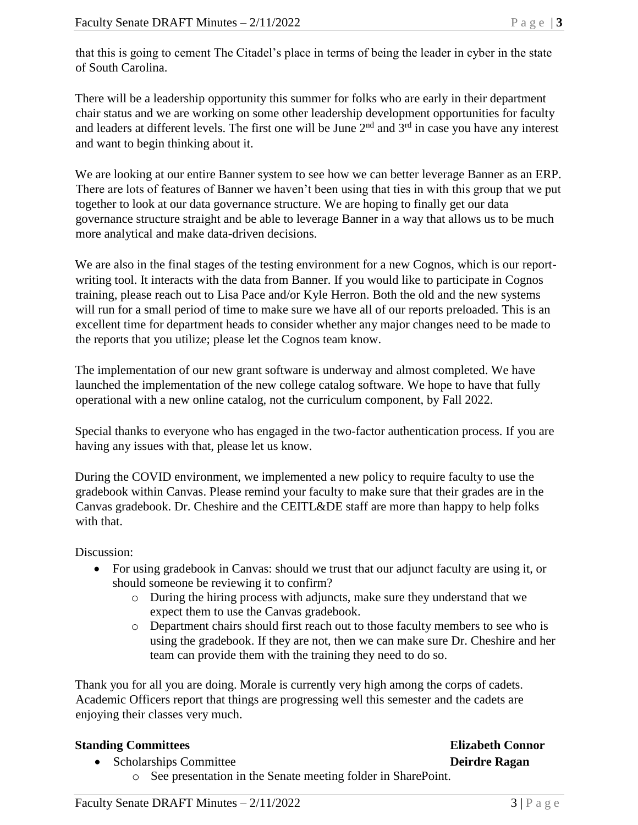that this is going to cement The Citadel's place in terms of being the leader in cyber in the state of South Carolina.

There will be a leadership opportunity this summer for folks who are early in their department chair status and we are working on some other leadership development opportunities for faculty and leaders at different levels. The first one will be June  $2<sup>nd</sup>$  and  $3<sup>rd</sup>$  in case you have any interest and want to begin thinking about it.

We are looking at our entire Banner system to see how we can better leverage Banner as an ERP. There are lots of features of Banner we haven't been using that ties in with this group that we put together to look at our data governance structure. We are hoping to finally get our data governance structure straight and be able to leverage Banner in a way that allows us to be much more analytical and make data-driven decisions.

We are also in the final stages of the testing environment for a new Cognos, which is our reportwriting tool. It interacts with the data from Banner. If you would like to participate in Cognos training, please reach out to Lisa Pace and/or Kyle Herron. Both the old and the new systems will run for a small period of time to make sure we have all of our reports preloaded. This is an excellent time for department heads to consider whether any major changes need to be made to the reports that you utilize; please let the Cognos team know.

The implementation of our new grant software is underway and almost completed. We have launched the implementation of the new college catalog software. We hope to have that fully operational with a new online catalog, not the curriculum component, by Fall 2022.

Special thanks to everyone who has engaged in the two-factor authentication process. If you are having any issues with that, please let us know.

During the COVID environment, we implemented a new policy to require faculty to use the gradebook within Canvas. Please remind your faculty to make sure that their grades are in the Canvas gradebook. Dr. Cheshire and the CEITL&DE staff are more than happy to help folks with that.

Discussion:

- For using gradebook in Canvas: should we trust that our adjunct faculty are using it, or should someone be reviewing it to confirm?
	- o During the hiring process with adjuncts, make sure they understand that we expect them to use the Canvas gradebook.
	- o Department chairs should first reach out to those faculty members to see who is using the gradebook. If they are not, then we can make sure Dr. Cheshire and her team can provide them with the training they need to do so.

Thank you for all you are doing. Morale is currently very high among the corps of cadets. Academic Officers report that things are progressing well this semester and the cadets are enjoying their classes very much.

### **Standing Committees Elizabeth Connor**

# • Scholarships Committee **Deirdre Ragan**

o See presentation in the Senate meeting folder in SharePoint.